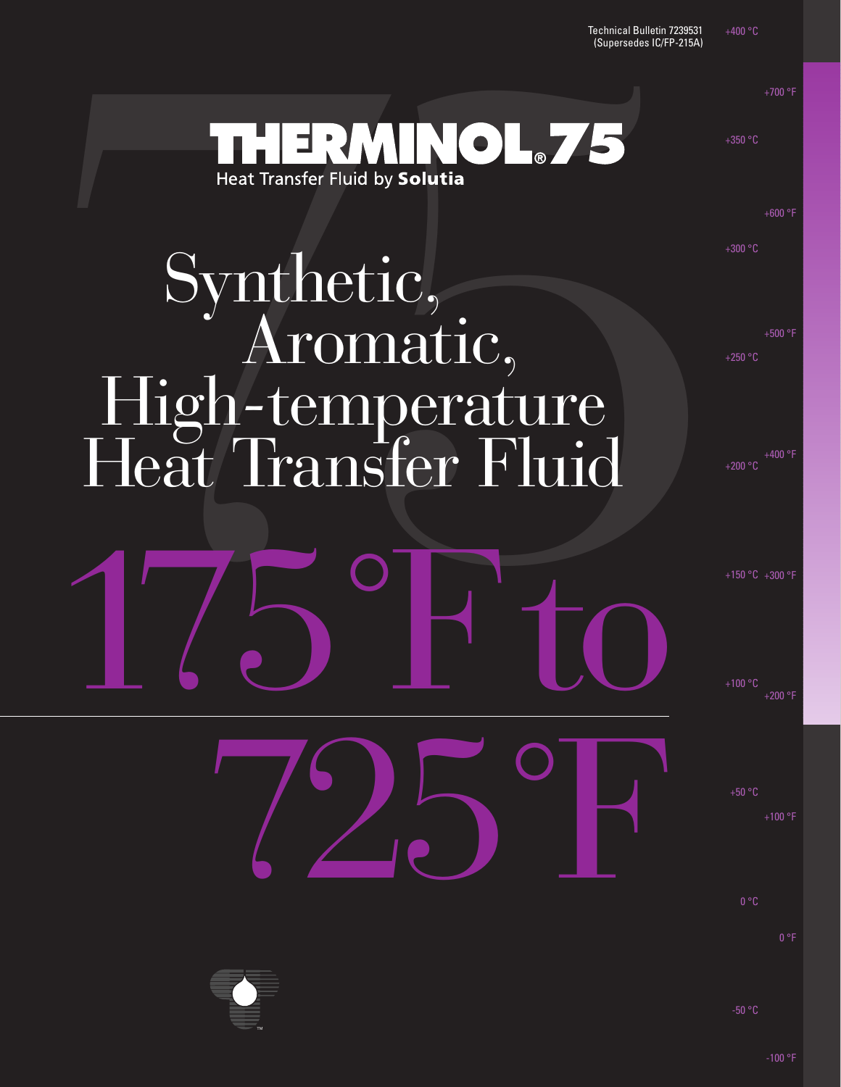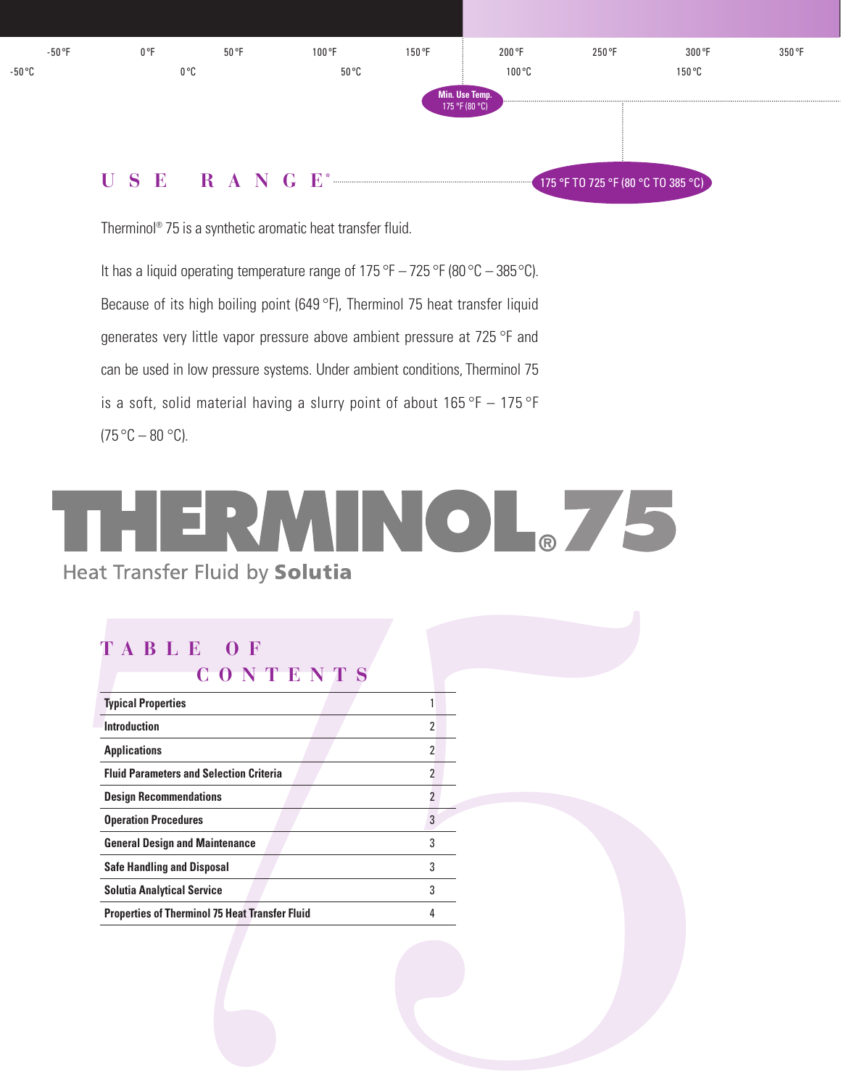

Therminol® 75 is a synthetic aromatic heat transfer fluid.

It has a liquid operating temperature range of 175 °F – 725 °F (80 °C – 385 °C). Because of its high boiling point (649 °F), Therminol 75 heat transfer liquid generates very little vapor pressure above ambient pressure at 725 °F and can be used in low pressure systems. Under ambient conditions, Therminol 75 is a soft, solid material having a slurry point of about  $165^{\circ}F - 175^{\circ}F$  $(75 °C - 80 °C)$ .



| CONTENTS<br><b>Typical Properties</b>                 | $\mathbf{1}$   |  |
|-------------------------------------------------------|----------------|--|
| <b>Introduction</b>                                   | $\overline{2}$ |  |
| <b>Applications</b>                                   | $\overline{2}$ |  |
| <b>Fluid Parameters and Selection Criteria</b>        | $\overline{2}$ |  |
| <b>Design Recommendations</b>                         | $\overline{2}$ |  |
| <b>Operation Procedures</b>                           | $\overline{3}$ |  |
| <b>General Design and Maintenance</b>                 | 3              |  |
| <b>Safe Handling and Disposal</b>                     | 3              |  |
| <b>Solutia Analytical Service</b>                     | 3              |  |
| <b>Properties of Therminol 75 Heat Transfer Fluid</b> | 4              |  |
|                                                       |                |  |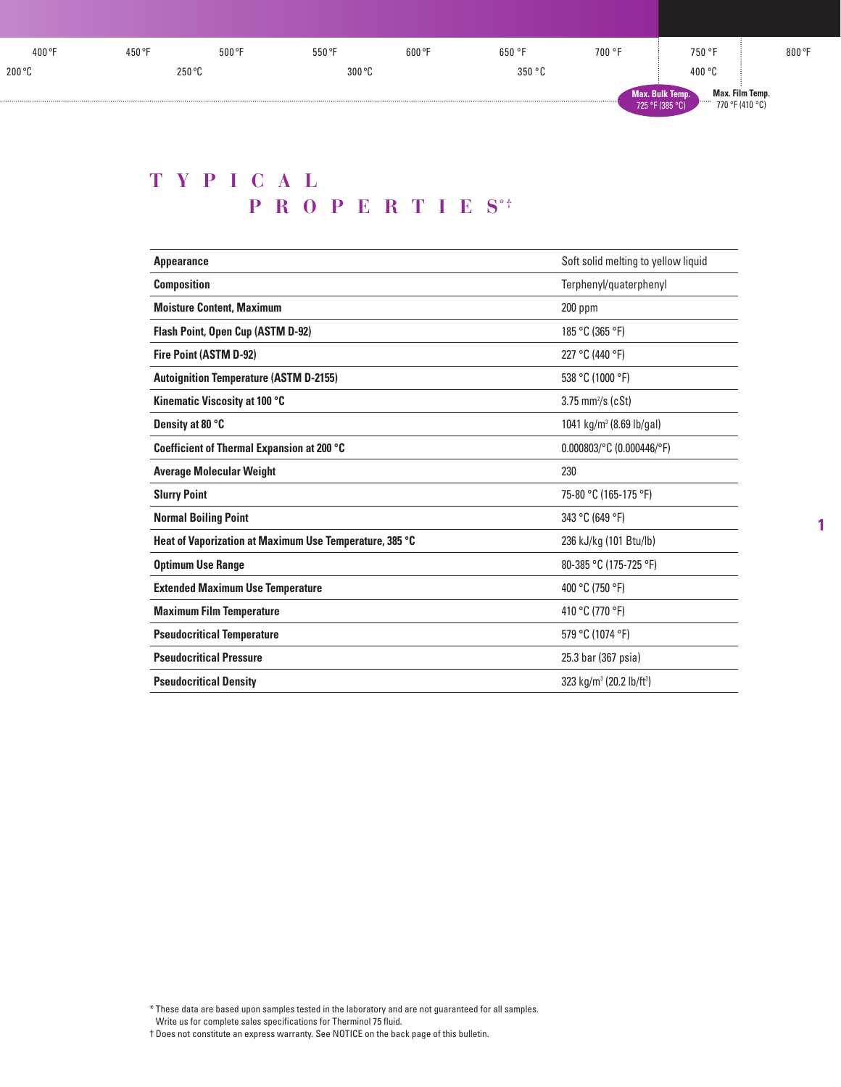| 400 °F | 450 °F        | 500 °F | 550 °F | 600 °F | 650 °F | 700 °F | 750 °F                                                      | 800 °F          |
|--------|---------------|--------|--------|--------|--------|--------|-------------------------------------------------------------|-----------------|
| 200 °C | <b>DEU OL</b> |        | 300 °C |        | 350 °C |        | 400 °C                                                      |                 |
|        |               |        |        |        |        |        | <b>Max. Bulk Temp.</b><br>.<br>770 °F (410 °C)<br>F(385 °C) | Max. Film Temp. |

## **TYPICAL PROPERTIES**\*\*

| <b>Appearance</b>                                       | Soft solid melting to yellow liquid              |
|---------------------------------------------------------|--------------------------------------------------|
| <b>Composition</b>                                      | Terphenyl/quaterphenyl                           |
| <b>Moisture Content. Maximum</b>                        | $200$ ppm                                        |
| <b>Flash Point, Open Cup (ASTM D-92)</b>                | 185 °C (365 °F)                                  |
| Fire Point (ASTM D-92)                                  | 227 °C (440 °F)                                  |
| <b>Autoignition Temperature (ASTM D-2155)</b>           | 538 °C (1000 °F)                                 |
| Kinematic Viscosity at 100 °C                           | $3.75$ mm <sup>2</sup> /s (cSt)                  |
| Density at 80 °C                                        | 1041 kg/m <sup>3</sup> (8.69 lb/gal)             |
| Coefficient of Thermal Expansion at 200 °C              | $0.000803$ /°C (0.000446/°F)                     |
| <b>Average Molecular Weight</b>                         | 230                                              |
| <b>Slurry Point</b>                                     | 75-80 °C (165-175 °F)                            |
| <b>Normal Boiling Point</b>                             | 343 °C (649 °F)                                  |
| Heat of Vaporization at Maximum Use Temperature, 385 °C | 236 kJ/kg (101 Btu/lb)                           |
| <b>Optimum Use Range</b>                                | 80-385 °C (175-725 °F)                           |
| <b>Extended Maximum Use Temperature</b>                 | 400 °C (750 °F)                                  |
| <b>Maximum Film Temperature</b>                         | 410 °C (770 °F)                                  |
| <b>Pseudocritical Temperature</b>                       | 579 °C (1074 °F)                                 |
| <b>Pseudocritical Pressure</b>                          | 25.3 bar (367 psia)                              |
| <b>Pseudocritical Density</b>                           | 323 kg/m <sup>3</sup> (20.2 lb/ft <sup>3</sup> ) |

**1**

† Does not constitute an express warranty. See NOTICE on the back page of this bulletin.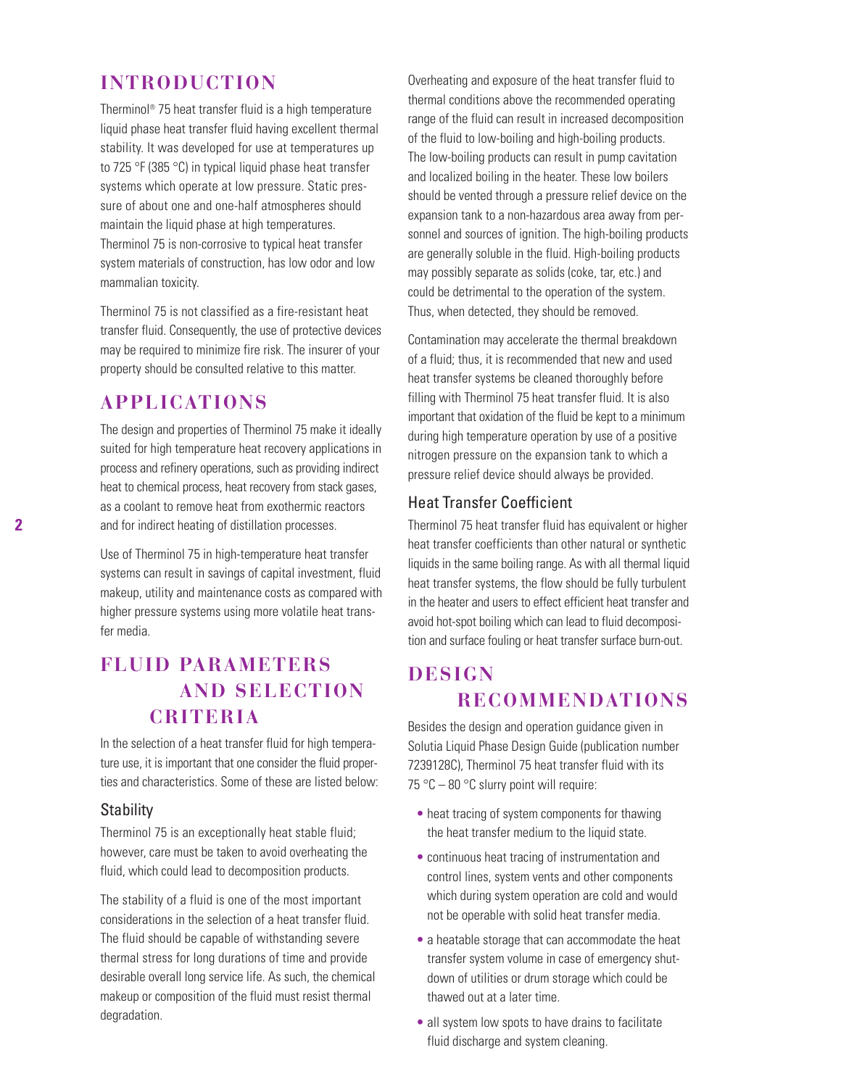### **INTRODUCTION**

Therminol® 75 heat transfer fluid is a high temperature liquid phase heat transfer fluid having excellent thermal stability. It was developed for use at temperatures up to 725 °F (385 °C) in typical liquid phase heat transfer systems which operate at low pressure. Static pressure of about one and one-half atmospheres should maintain the liquid phase at high temperatures. Therminol 75 is non-corrosive to typical heat transfer system materials of construction, has low odor and low mammalian toxicity.

Therminol 75 is not classified as a fire-resistant heat transfer fluid. Consequently, the use of protective devices may be required to minimize fire risk. The insurer of your property should be consulted relative to this matter.

### **APPLICATIONS**

The design and properties of Therminol 75 make it ideally suited for high temperature heat recovery applications in process and refinery operations, such as providing indirect heat to chemical process, heat recovery from stack gases, as a coolant to remove heat from exothermic reactors and for indirect heating of distillation processes.

Use of Therminol 75 in high-temperature heat transfer systems can result in savings of capital investment, fluid makeup, utility and maintenance costs as compared with higher pressure systems using more volatile heat transfer media.

## **FLUID PARAMETERS AND SELECTION CRITERIA**

In the selection of a heat transfer fluid for high temperature use, it is important that one consider the fluid properties and characteristics. Some of these are listed below:

### **Stability**

Therminol 75 is an exceptionally heat stable fluid; however, care must be taken to avoid overheating the fluid, which could lead to decomposition products.

The stability of a fluid is one of the most important considerations in the selection of a heat transfer fluid. The fluid should be capable of withstanding severe thermal stress for long durations of time and provide desirable overall long service life. As such, the chemical makeup or composition of the fluid must resist thermal degradation.

Overheating and exposure of the heat transfer fluid to thermal conditions above the recommended operating range of the fluid can result in increased decomposition of the fluid to low-boiling and high-boiling products. The low-boiling products can result in pump cavitation and localized boiling in the heater. These low boilers should be vented through a pressure relief device on the expansion tank to a non-hazardous area away from personnel and sources of ignition. The high-boiling products are generally soluble in the fluid. High-boiling products may possibly separate as solids (coke, tar, etc.) and could be detrimental to the operation of the system. Thus, when detected, they should be removed.

Contamination may accelerate the thermal breakdown of a fluid; thus, it is recommended that new and used heat transfer systems be cleaned thoroughly before filling with Therminol 75 heat transfer fluid. It is also important that oxidation of the fluid be kept to a minimum during high temperature operation by use of a positive nitrogen pressure on the expansion tank to which a pressure relief device should always be provided.

### Heat Transfer Coefficient

Therminol 75 heat transfer fluid has equivalent or higher heat transfer coefficients than other natural or synthetic liquids in the same boiling range. As with all thermal liquid heat transfer systems, the flow should be fully turbulent in the heater and users to effect efficient heat transfer and avoid hot-spot boiling which can lead to fluid decomposition and surface fouling or heat transfer surface burn-out.

## **DESIGN RECOMMENDATIONS**

Besides the design and operation guidance given in Solutia Liquid Phase Design Guide (publication number 7239128C), Therminol 75 heat transfer fluid with its 75 °C – 80 °C slurry point will require:

- heat tracing of system components for thawing the heat transfer medium to the liquid state.
- continuous heat tracing of instrumentation and control lines, system vents and other components which during system operation are cold and would not be operable with solid heat transfer media.
- a heatable storage that can accommodate the heat transfer system volume in case of emergency shutdown of utilities or drum storage which could be thawed out at a later time.
- all system low spots to have drains to facilitate fluid discharge and system cleaning.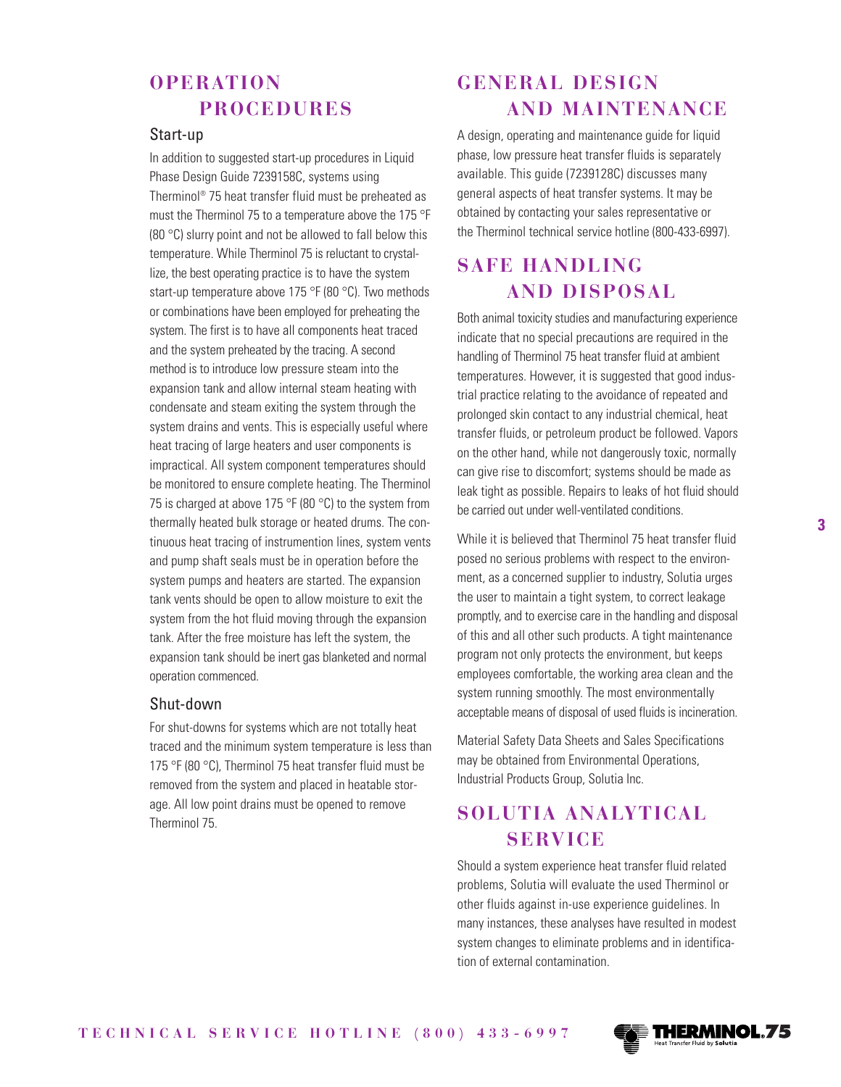### **OPERATION PROCEDURES**

### Start-up

In addition to suggested start-up procedures in Liquid Phase Design Guide 7239158C, systems using Therminol® 75 heat transfer fluid must be preheated as must the Therminol 75 to a temperature above the 175 °F (80 °C) slurry point and not be allowed to fall below this temperature. While Therminol 75 is reluctant to crystallize, the best operating practice is to have the system start-up temperature above 175 °F (80 °C). Two methods or combinations have been employed for preheating the system. The first is to have all components heat traced and the system preheated by the tracing. A second method is to introduce low pressure steam into the expansion tank and allow internal steam heating with condensate and steam exiting the system through the system drains and vents. This is especially useful where heat tracing of large heaters and user components is impractical. All system component temperatures should be monitored to ensure complete heating. The Therminol 75 is charged at above 175 °F (80 °C) to the system from thermally heated bulk storage or heated drums. The continuous heat tracing of instrumention lines, system vents and pump shaft seals must be in operation before the system pumps and heaters are started. The expansion tank vents should be open to allow moisture to exit the system from the hot fluid moving through the expansion tank. After the free moisture has left the system, the expansion tank should be inert gas blanketed and normal operation commenced.

### Shut-down

For shut-downs for systems which are not totally heat traced and the minimum system temperature is less than 175 °F (80 °C), Therminol 75 heat transfer fluid must be removed from the system and placed in heatable storage. All low point drains must be opened to remove Therminol 75.

## **GENERAL DESIGN AND MAINTENANCE**

A design, operating and maintenance guide for liquid phase, low pressure heat transfer fluids is separately available. This guide (7239128C) discusses many general aspects of heat transfer systems. It may be obtained by contacting your sales representative or the Therminol technical service hotline (800-433-6997).

## **SAFE HANDLING AND DISPOSAL**

Both animal toxicity studies and manufacturing experience indicate that no special precautions are required in the handling of Therminol 75 heat transfer fluid at ambient temperatures. However, it is suggested that good industrial practice relating to the avoidance of repeated and prolonged skin contact to any industrial chemical, heat transfer fluids, or petroleum product be followed. Vapors on the other hand, while not dangerously toxic, normally can give rise to discomfort; systems should be made as leak tight as possible. Repairs to leaks of hot fluid should be carried out under well-ventilated conditions.

While it is believed that Therminol 75 heat transfer fluid posed no serious problems with respect to the environment, as a concerned supplier to industry, Solutia urges the user to maintain a tight system, to correct leakage promptly, and to exercise care in the handling and disposal of this and all other such products. A tight maintenance program not only protects the environment, but keeps employees comfortable, the working area clean and the system running smoothly. The most environmentally acceptable means of disposal of used fluids is incineration.

Material Safety Data Sheets and Sales Specifications may be obtained from Environmental Operations, Industrial Products Group, Solutia Inc.

## **SOLUTIA ANALYTICAL SERVICE**

Should a system experience heat transfer fluid related problems, Solutia will evaluate the used Therminol or other fluids against in-use experience guidelines. In many instances, these analyses have resulted in modest system changes to eliminate problems and in identification of external contamination.

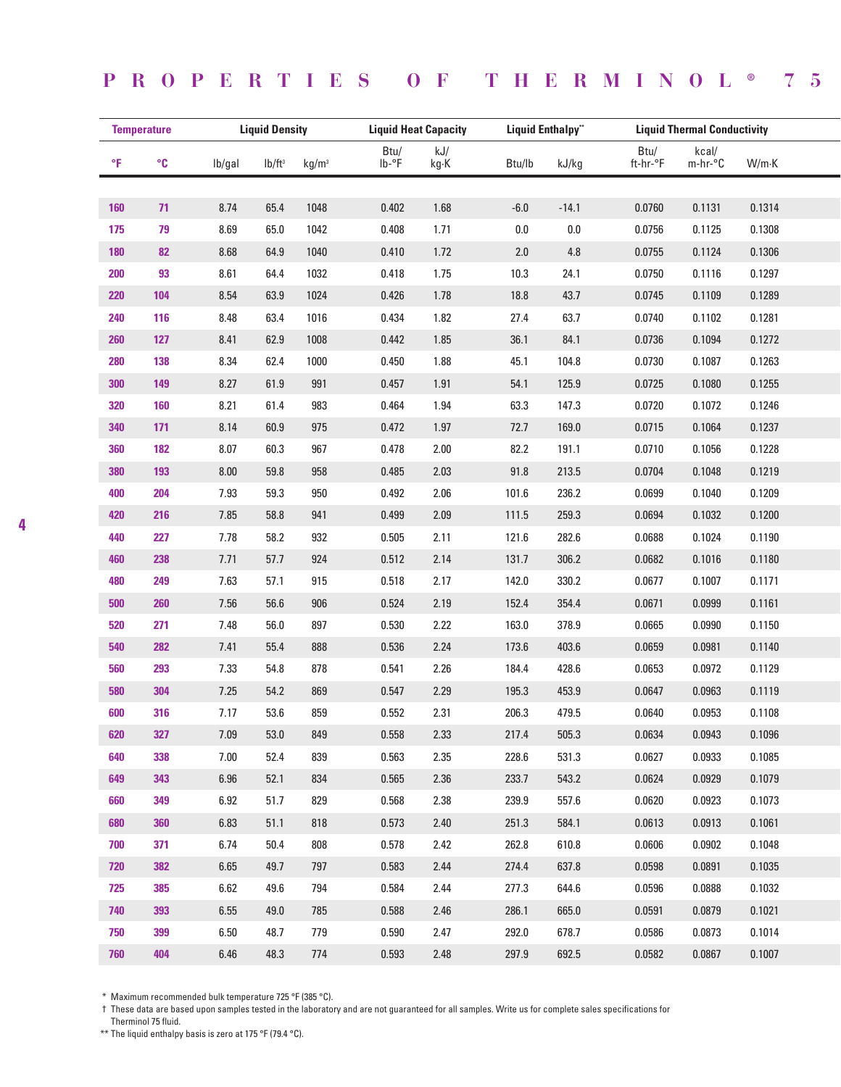## **PROPERTIES OF THERMINOL ® 75**

|     | <b>Temperature</b> | <b>Liquid Density</b> |                    | <b>Liquid Heat Capacity</b> |               |             | <b>Liquid Enthalpy"</b> |         | <b>Liquid Thermal Conductivity</b> |                  |        |  |
|-----|--------------------|-----------------------|--------------------|-----------------------------|---------------|-------------|-------------------------|---------|------------------------------------|------------------|--------|--|
| °F  | $^{\circ}$ C       | lb/gal                | Ib/ft <sup>3</sup> | kg/m <sup>3</sup>           | Btu/<br>lb-°F | kJ/<br>kg·K | Btu/lb                  | kJ/kg   | Btu/<br>ft-hr-°F                   | kcal/<br>m-hr-°C | W/m·K  |  |
|     |                    |                       |                    |                             |               |             |                         |         |                                    |                  |        |  |
| 160 | 71                 | 8.74                  | 65.4               | 1048                        | 0.402         | 1.68        | $-6.0$                  | $-14.1$ | 0.0760                             | 0.1131           | 0.1314 |  |
| 175 | 79                 | 8.69                  | 65.0               | 1042                        | 0.408         | 1.71        | $0.0\,$                 | $0.0\,$ | 0.0756                             | 0.1125           | 0.1308 |  |
| 180 | 82                 | 8.68                  | 64.9               | 1040                        | 0.410         | 1.72        | 2.0                     | 4.8     | 0.0755                             | 0.1124           | 0.1306 |  |
| 200 | 93                 | 8.61                  | 64.4               | 1032                        | 0.418         | 1.75        | 10.3                    | 24.1    | 0.0750                             | 0.1116           | 0.1297 |  |
| 220 | 104                | 8.54                  | 63.9               | 1024                        | 0.426         | 1.78        | 18.8                    | 43.7    | 0.0745                             | 0.1109           | 0.1289 |  |
| 240 | 116                | 8.48                  | 63.4               | 1016                        | 0.434         | 1.82        | 27.4                    | 63.7    | 0.0740                             | 0.1102           | 0.1281 |  |
| 260 | 127                | 8.41                  | 62.9               | 1008                        | 0.442         | 1.85        | 36.1                    | 84.1    | 0.0736                             | 0.1094           | 0.1272 |  |
| 280 | 138                | 8.34                  | 62.4               | 1000                        | 0.450         | 1.88        | 45.1                    | 104.8   | 0.0730                             | 0.1087           | 0.1263 |  |
| 300 | 149                | 8.27                  | 61.9               | 991                         | 0.457         | 1.91        | 54.1                    | 125.9   | 0.0725                             | 0.1080           | 0.1255 |  |
| 320 | 160                | 8.21                  | 61.4               | 983                         | 0.464         | 1.94        | 63.3                    | 147.3   | 0.0720                             | 0.1072           | 0.1246 |  |
| 340 | 171                | 8.14                  | 60.9               | 975                         | 0.472         | 1.97        | 72.7                    | 169.0   | 0.0715                             | 0.1064           | 0.1237 |  |
| 360 | 182                | 8.07                  | 60.3               | 967                         | 0.478         | 2.00        | 82.2                    | 191.1   | 0.0710                             | 0.1056           | 0.1228 |  |
| 380 | 193                | $8.00\,$              | 59.8               | 958                         | 0.485         | 2.03        | 91.8                    | 213.5   | 0.0704                             | 0.1048           | 0.1219 |  |
| 400 | 204                | 7.93                  | 59.3               | 950                         | 0.492         | 2.06        | 101.6                   | 236.2   | 0.0699                             | 0.1040           | 0.1209 |  |
| 420 | 216                | 7.85                  | 58.8               | 941                         | 0.499         | 2.09        | 111.5                   | 259.3   | 0.0694                             | 0.1032           | 0.1200 |  |
| 440 | 227                | 7.78                  | 58.2               | 932                         | 0.505         | 2.11        | 121.6                   | 282.6   | 0.0688                             | 0.1024           | 0.1190 |  |
| 460 | 238                | 7.71                  | 57.7               | 924                         | 0.512         | 2.14        | 131.7                   | 306.2   | 0.0682                             | 0.1016           | 0.1180 |  |
| 480 | 249                | 7.63                  | 57.1               | 915                         | 0.518         | 2.17        | 142.0                   | 330.2   | 0.0677                             | 0.1007           | 0.1171 |  |
| 500 | 260                | 7.56                  | 56.6               | 906                         | 0.524         | 2.19        | 152.4                   | 354.4   | 0.0671                             | 0.0999           | 0.1161 |  |
| 520 | 271                | 7.48                  | 56.0               | 897                         | 0.530         | 2.22        | 163.0                   | 378.9   | 0.0665                             | 0.0990           | 0.1150 |  |
| 540 | 282                | 7.41                  | 55.4               | 888                         | 0.536         | 2.24        | 173.6                   | 403.6   | 0.0659                             | 0.0981           | 0.1140 |  |
| 560 | 293                | 7.33                  | 54.8               | 878                         | 0.541         | 2.26        | 184.4                   | 428.6   | 0.0653                             | 0.0972           | 0.1129 |  |
| 580 | 304                | 7.25                  | 54.2               | 869                         | 0.547         | 2.29        | 195.3                   | 453.9   | 0.0647                             | 0.0963           | 0.1119 |  |
| 600 | 316                | 7.17                  | 53.6               | 859                         | 0.552         | 2.31        | 206.3                   | 479.5   | 0.0640                             | 0.0953           | 0.1108 |  |
| 620 | 327                | 7.09                  | 53.0               | 849                         | 0.558         | 2.33        | 217.4                   | 505.3   | 0.0634                             | 0.0943           | 0.1096 |  |
| 640 | 338                | 7.00                  | 52.4               | 839                         | 0.563         | 2.35        | 228.6                   | 531.3   | 0.0627                             | 0.0933           | 0.1085 |  |
| 649 | 343                | 6.96                  | 52.1               | 834                         | 0.565         | 2.36        | 233.7                   | 543.2   | 0.0624                             | 0.0929           | 0.1079 |  |
| 660 | 349                | 6.92                  | 51.7               | 829                         | 0.568         | 2.38        | 239.9                   | 557.6   | 0.0620                             | 0.0923           | 0.1073 |  |
| 680 | 360                | 6.83                  | 51.1               | 818                         | 0.573         | 2.40        | 251.3                   | 584.1   | 0.0613                             | 0.0913           | 0.1061 |  |
| 700 | 371                | 6.74                  | 50.4               | 808                         | 0.578         | 2.42        | 262.8                   | 610.8   | 0.0606                             | 0.0902           | 0.1048 |  |
| 720 | 382                | 6.65                  | 49.7               | 797                         | 0.583         | 2.44        | 274.4                   | 637.8   | 0.0598                             | 0.0891           | 0.1035 |  |
| 725 | 385                | 6.62                  | 49.6               | 794                         | 0.584         | 2.44        | 277.3                   | 644.6   | 0.0596                             | 0.0888           | 0.1032 |  |
| 740 | 393                | 6.55                  | 49.0               | 785                         | 0.588         | 2.46        | 286.1                   | 665.0   | 0.0591                             | 0.0879           | 0.1021 |  |
| 750 | 399                | 6.50                  | 48.7               | 779                         | 0.590         | 2.47        | 292.0                   | 678.7   | 0.0586                             | 0.0873           | 0.1014 |  |
| 760 | 404                | 6.46                  | 48.3               | 774                         | 0.593         | 2.48        | 297.9                   | 692.5   | 0.0582                             | 0.0867           | 0.1007 |  |

\* Maximum recommended bulk temperature 725 °F (385 °C).

† These data are based upon samples tested in the laboratory and are not guaranteed for all samples. Write us for complete sales specifications for

Therminol 75 fluid.

\*\* The liquid enthalpy basis is zero at 175 °F (79.4 °C).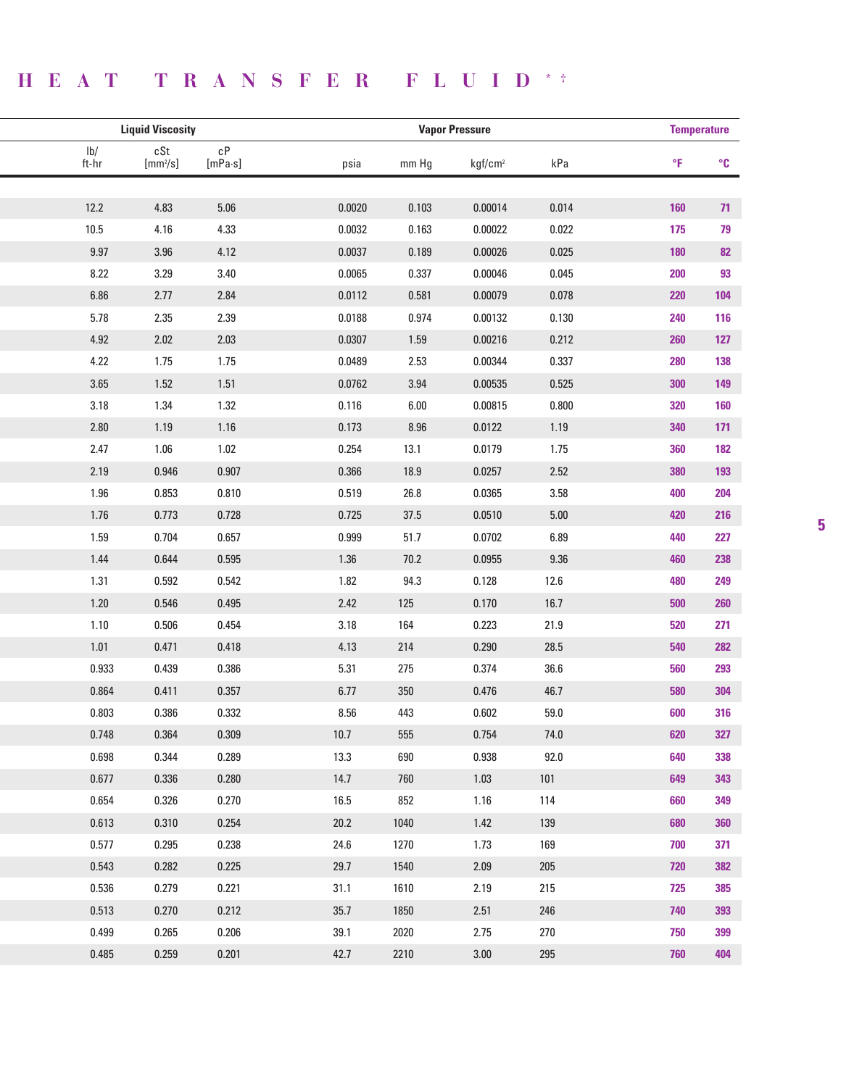# **HEAT TRANSFER FLUID \* †**

| <b>Liquid Viscosity</b>          |                   |                                   | <b>Temperature</b> |       |                     |          |     |                   |
|----------------------------------|-------------------|-----------------------------------|--------------------|-------|---------------------|----------|-----|-------------------|
| $\mathsf{lb}/\mathsf{}$<br>ft-hr | cSt<br>$[mm^2/s]$ | $\mathsf{c}\mathsf{P}$<br>[mPa·s] | psia               | mm Hg | kgf/cm <sup>2</sup> | kPa      | °F  | $^{\circ}{\rm C}$ |
|                                  |                   |                                   |                    |       |                     |          |     |                   |
| 12.2                             | 4.83              | 5.06                              | 0.0020             | 0.103 | 0.00014             | 0.014    | 160 | 71                |
| 10.5                             | 4.16              | 4.33                              | 0.0032             | 0.163 | 0.00022             | 0.022    | 175 | 79                |
| 9.97                             | $3.96\,$          | 4.12                              | 0.0037             | 0.189 | 0.00026             | 0.025    | 180 | 82                |
| 8.22                             | 3.29              | 3.40                              | 0.0065             | 0.337 | 0.00046             | 0.045    | 200 | 93                |
| 6.86                             | 2.77              | 2.84                              | 0.0112             | 0.581 | 0.00079             | 0.078    | 220 | 104               |
| 5.78                             | 2.35              | 2.39                              | 0.0188             | 0.974 | 0.00132             | 0.130    | 240 | 116               |
| 4.92                             | 2.02              | 2.03                              | 0.0307             | 1.59  | 0.00216             | 0.212    | 260 | 127               |
| 4.22                             | 1.75              | 1.75                              | 0.0489             | 2.53  | 0.00344             | 0.337    | 280 | 138               |
| 3.65                             | 1.52              | 1.51                              | 0.0762             | 3.94  | 0.00535             | 0.525    | 300 | 149               |
| 3.18                             | 1.34              | 1.32                              | 0.116              | 6.00  | 0.00815             | 0.800    | 320 | 160               |
| 2.80                             | 1.19              | 1.16                              | 0.173              | 8.96  | 0.0122              | 1.19     | 340 | 171               |
| 2.47                             | 1.06              | 1.02                              | 0.254              | 13.1  | 0.0179              | 1.75     | 360 | 182               |
| 2.19                             | 0.946             | 0.907                             | 0.366              | 18.9  | 0.0257              | 2.52     | 380 | 193               |
| 1.96                             | 0.853             | 0.810                             | 0.519              | 26.8  | 0.0365              | 3.58     | 400 | 204               |
| 1.76                             | 0.773             | 0.728                             | 0.725              | 37.5  | 0.0510              | $5.00\,$ | 420 | 216               |
| 1.59                             | 0.704             | 0.657                             | 0.999              | 51.7  | 0.0702              | 6.89     | 440 | 227               |
| 1.44                             | 0.644             | 0.595                             | 1.36               | 70.2  | 0.0955              | $9.36\,$ | 460 | 238               |
| 1.31                             | 0.592             | 0.542                             | 1.82               | 94.3  | 0.128               | 12.6     | 480 | 249               |
| 1.20                             | 0.546             | 0.495                             | 2.42               | 125   | 0.170               | 16.7     | 500 | 260               |
| 1.10                             | 0.506             | 0.454                             | 3.18               | 164   | 0.223               | 21.9     | 520 | 271               |
| 1.01                             | 0.471             | 0.418                             | 4.13               | 214   | 0.290               | 28.5     | 540 | 282               |
| 0.933                            | 0.439             | 0.386                             | 5.31               | 275   | 0.374               | 36.6     | 560 | 293               |
| 0.864                            | 0.411             | 0.357                             | 6.77               | 350   | 0.476               | 46.7     | 580 | 304               |
| 0.803                            | 0.386             | 0.332                             | 8.56               | 443   | 0.602               | 59.0     | 600 | 316               |
| 0.748                            | 0.364             | 0.309                             | 10.7               | 555   | 0.754               | 74.0     | 620 | 327               |
| 0.698                            | 0.344             | 0.289                             | 13.3               | 690   | 0.938               | 92.0     | 640 | 338               |
| 0.677                            | 0.336             | 0.280                             | 14.7               | 760   | 1.03                | 101      | 649 | 343               |
| 0.654                            | 0.326             | 0.270                             | 16.5               | 852   | 1.16                | 114      | 660 | 349               |
| 0.613                            | 0.310             | 0.254                             | 20.2               | 1040  | 1.42                | 139      | 680 | 360               |
| 0.577                            | 0.295             | 0.238                             | 24.6               | 1270  | 1.73                | 169      | 700 | 371               |
| 0.543                            | 0.282             | 0.225                             | 29.7               | 1540  | 2.09                | 205      | 720 | 382               |
| 0.536                            | 0.279             | 0.221                             | 31.1               | 1610  | 2.19                | 215      | 725 | 385               |
| 0.513                            | 0.270             | 0.212                             | 35.7               | 1850  | 2.51                | 246      | 740 | 393               |
| 0.499                            | 0.265             | 0.206                             | 39.1               | 2020  | 2.75                | 270      | 750 | 399               |
| 0.485                            | 0.259             | 0.201                             | 42.7               | 2210  | $3.00\,$            | 295      | 760 | 404               |
|                                  |                   |                                   |                    |       |                     |          |     |                   |